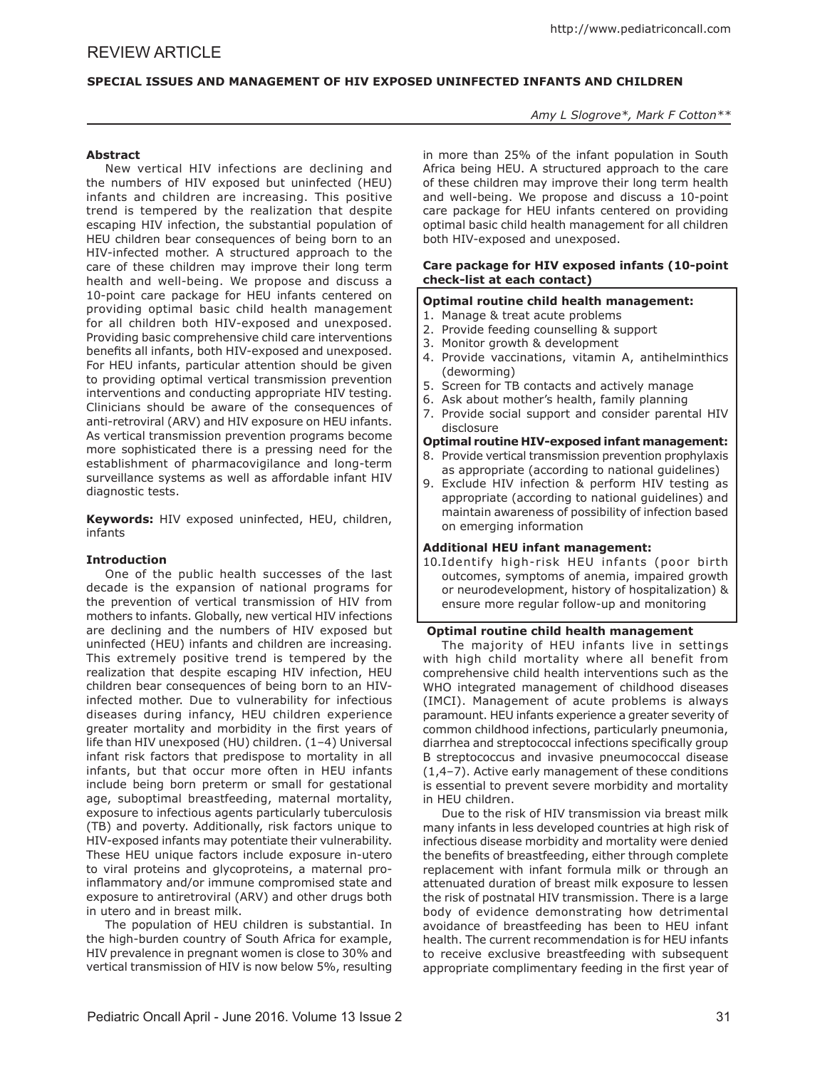# **SPECIAL ISSUES AND MANAGEMENT OF HIV EXPOSED UNINFECTED INFANTS AND CHILDREN**

## *Amy L Slogrove\*, Mark F Cotton\*\**

## **Abstract**

New vertical HIV infections are declining and the numbers of HIV exposed but uninfected (HEU) infants and children are increasing. This positive trend is tempered by the realization that despite escaping HIV infection, the substantial population of HEU children bear consequences of being born to an HIV-infected mother. A structured approach to the care of these children may improve their long term health and well-being. We propose and discuss a 10-point care package for HEU infants centered on providing optimal basic child health management for all children both HIV-exposed and unexposed. Providing basic comprehensive child care interventions benefits all infants, both HIV-exposed and unexposed. For HEU infants, particular attention should be given to providing optimal vertical transmission prevention interventions and conducting appropriate HIV testing. Clinicians should be aware of the consequences of anti-retroviral (ARV) and HIV exposure on HEU infants. As vertical transmission prevention programs become more sophisticated there is a pressing need for the establishment of pharmacovigilance and long-term surveillance systems as well as affordable infant HIV diagnostic tests.

**Keywords:** HIV exposed uninfected, HEU, children, infants

# **Introduction**

One of the public health successes of the last decade is the expansion of national programs for the prevention of vertical transmission of HIV from mothers to infants. Globally, new vertical HIV infections are declining and the numbers of HIV exposed but uninfected (HEU) infants and children are increasing. This extremely positive trend is tempered by the realization that despite escaping HIV infection, HEU children bear consequences of being born to an HIVinfected mother. Due to vulnerability for infectious diseases during infancy, HEU children experience greater mortality and morbidity in the first years of life than HIV unexposed (HU) children. (1–4) Universal infant risk factors that predispose to mortality in all infants, but that occur more often in HEU infants include being born preterm or small for gestational age, suboptimal breastfeeding, maternal mortality, exposure to infectious agents particularly tuberculosis (TB) and poverty. Additionally, risk factors unique to HIV-exposed infants may potentiate their vulnerability. These HEU unique factors include exposure in-utero to viral proteins and glycoproteins, a maternal proinflammatory and/or immune compromised state and exposure to antiretroviral (ARV) and other drugs both in utero and in breast milk.

The population of HEU children is substantial. In the high-burden country of South Africa for example, HIV prevalence in pregnant women is close to 30% and vertical transmission of HIV is now below 5%, resulting

in more than 25% of the infant population in South Africa being HEU. A structured approach to the care of these children may improve their long term health and well-being. We propose and discuss a 10-point care package for HEU infants centered on providing optimal basic child health management for all children both HIV-exposed and unexposed.

## **Care package for HIV exposed infants (10-point check-list at each contact)**

# **Optimal routine child health management:**

- 1. Manage & treat acute problems
- 2. Provide feeding counselling & support
- 3. Monitor growth & development
- 4. Provide vaccinations, vitamin A, antihelminthics (deworming)
- 5. Screen for TB contacts and actively manage
- 6. Ask about mother's health, family planning
- 7. Provide social support and consider parental HIV disclosure

### **Optimal routine HIV-exposed infant management:**

- 8. Provide vertical transmission prevention prophylaxis as appropriate (according to national guidelines)
- 9. Exclude HIV infection & perform HIV testing as appropriate (according to national guidelines) and maintain awareness of possibility of infection based on emerging information

# **Additional HEU infant management:**

10.Identify high-risk HEU infants (poor birth outcomes, symptoms of anemia, impaired growth or neurodevelopment, history of hospitalization) & ensure more regular follow-up and monitoring

# **Optimal routine child health management**

The majority of HEU infants live in settings with high child mortality where all benefit from comprehensive child health interventions such as the WHO integrated management of childhood diseases (IMCI). Management of acute problems is always paramount. HEU infants experience a greater severity of common childhood infections, particularly pneumonia, diarrhea and streptococcal infections specifically group B streptococcus and invasive pneumococcal disease (1,4–7). Active early management of these conditions is essential to prevent severe morbidity and mortality in HEU children.

Due to the risk of HIV transmission via breast milk many infants in less developed countries at high risk of infectious disease morbidity and mortality were denied the benefits of breastfeeding, either through complete replacement with infant formula milk or through an attenuated duration of breast milk exposure to lessen the risk of postnatal HIV transmission. There is a large body of evidence demonstrating how detrimental avoidance of breastfeeding has been to HEU infant health. The current recommendation is for HEU infants to receive exclusive breastfeeding with subsequent appropriate complimentary feeding in the first year of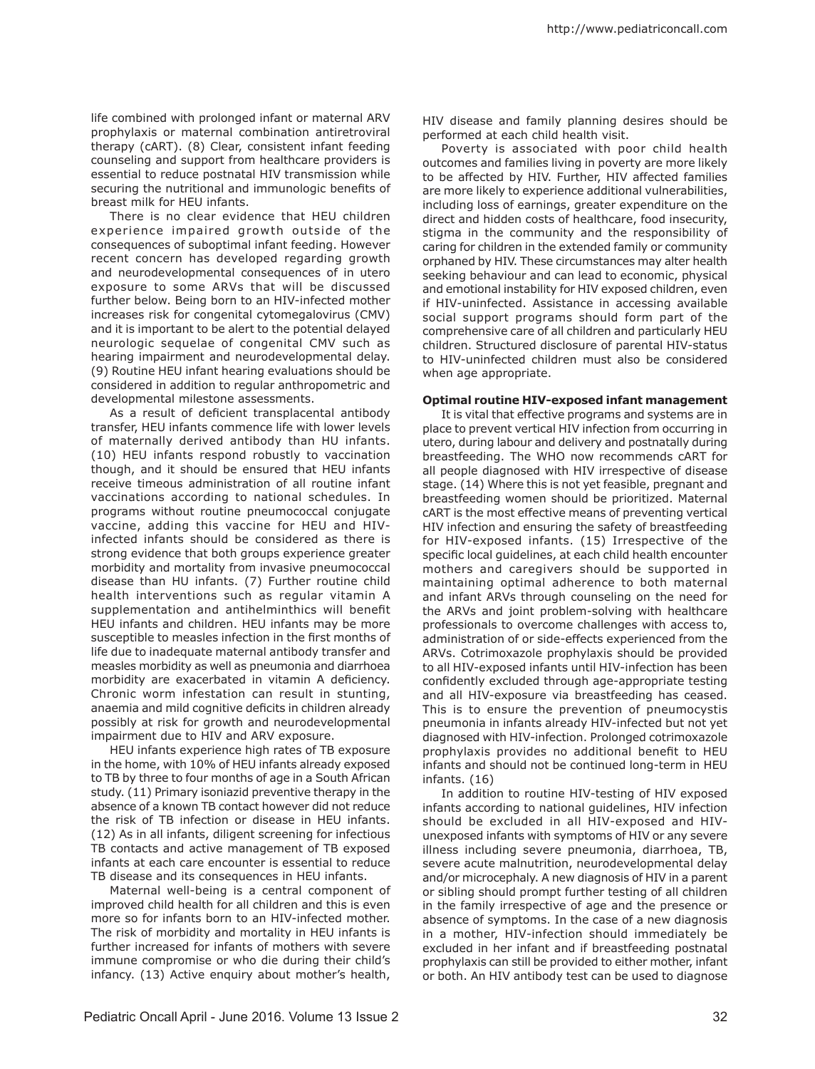life combined with prolonged infant or maternal ARV prophylaxis or maternal combination antiretroviral therapy (cART). (8) Clear, consistent infant feeding counseling and support from healthcare providers is essential to reduce postnatal HIV transmission while securing the nutritional and immunologic benefits of breast milk for HEU infants.

There is no clear evidence that HEU children experience impaired growth outside of the consequences of suboptimal infant feeding. However recent concern has developed regarding growth and neurodevelopmental consequences of in utero exposure to some ARVs that will be discussed further below. Being born to an HIV-infected mother increases risk for congenital cytomegalovirus (CMV) and it is important to be alert to the potential delayed neurologic sequelae of congenital CMV such as hearing impairment and neurodevelopmental delay. (9) Routine HEU infant hearing evaluations should be considered in addition to regular anthropometric and developmental milestone assessments.

As a result of deficient transplacental antibody transfer, HEU infants commence life with lower levels of maternally derived antibody than HU infants. (10) HEU infants respond robustly to vaccination though, and it should be ensured that HEU infants receive timeous administration of all routine infant vaccinations according to national schedules. In programs without routine pneumococcal conjugate vaccine, adding this vaccine for HEU and HIVinfected infants should be considered as there is strong evidence that both groups experience greater morbidity and mortality from invasive pneumococcal disease than HU infants. (7) Further routine child health interventions such as regular vitamin A supplementation and antihelminthics will benefit HEU infants and children. HEU infants may be more susceptible to measles infection in the first months of life due to inadequate maternal antibody transfer and measles morbidity as well as pneumonia and diarrhoea morbidity are exacerbated in vitamin A deficiency. Chronic worm infestation can result in stunting, anaemia and mild cognitive deficits in children already possibly at risk for growth and neurodevelopmental impairment due to HIV and ARV exposure.

HEU infants experience high rates of TB exposure in the home, with 10% of HEU infants already exposed to TB by three to four months of age in a South African study. (11) Primary isoniazid preventive therapy in the absence of a known TB contact however did not reduce the risk of TB infection or disease in HEU infants. (12) As in all infants, diligent screening for infectious TB contacts and active management of TB exposed infants at each care encounter is essential to reduce TB disease and its consequences in HEU infants.

Maternal well-being is a central component of improved child health for all children and this is even more so for infants born to an HIV-infected mother. The risk of morbidity and mortality in HEU infants is further increased for infants of mothers with severe immune compromise or who die during their child's infancy. (13) Active enquiry about mother's health,

HIV disease and family planning desires should be performed at each child health visit.

Poverty is associated with poor child health outcomes and families living in poverty are more likely to be affected by HIV. Further, HIV affected families are more likely to experience additional vulnerabilities, including loss of earnings, greater expenditure on the direct and hidden costs of healthcare, food insecurity, stigma in the community and the responsibility of caring for children in the extended family or community orphaned by HIV. These circumstances may alter health seeking behaviour and can lead to economic, physical and emotional instability for HIV exposed children, even if HIV-uninfected. Assistance in accessing available social support programs should form part of the comprehensive care of all children and particularly HEU children. Structured disclosure of parental HIV-status to HIV-uninfected children must also be considered when age appropriate.

#### **Optimal routine HIV-exposed infant management**

It is vital that effective programs and systems are in place to prevent vertical HIV infection from occurring in utero, during labour and delivery and postnatally during breastfeeding. The WHO now recommends cART for all people diagnosed with HIV irrespective of disease stage. (14) Where this is not yet feasible, pregnant and breastfeeding women should be prioritized. Maternal cART is the most effective means of preventing vertical HIV infection and ensuring the safety of breastfeeding for HIV-exposed infants. (15) Irrespective of the specific local guidelines, at each child health encounter mothers and caregivers should be supported in maintaining optimal adherence to both maternal and infant ARVs through counseling on the need for the ARVs and joint problem-solving with healthcare professionals to overcome challenges with access to, administration of or side-effects experienced from the ARVs. Cotrimoxazole prophylaxis should be provided to all HIV-exposed infants until HIV-infection has been confidently excluded through age-appropriate testing and all HIV-exposure via breastfeeding has ceased. This is to ensure the prevention of pneumocystis pneumonia in infants already HIV-infected but not yet diagnosed with HIV-infection. Prolonged cotrimoxazole prophylaxis provides no additional benefit to HEU infants and should not be continued long-term in HEU infants. (16)

In addition to routine HIV-testing of HIV exposed infants according to national guidelines, HIV infection should be excluded in all HIV-exposed and HIVunexposed infants with symptoms of HIV or any severe illness including severe pneumonia, diarrhoea, TB, severe acute malnutrition, neurodevelopmental delay and/or microcephaly. A new diagnosis of HIV in a parent or sibling should prompt further testing of all children in the family irrespective of age and the presence or absence of symptoms. In the case of a new diagnosis in a mother, HIV-infection should immediately be excluded in her infant and if breastfeeding postnatal prophylaxis can still be provided to either mother, infant or both. An HIV antibody test can be used to diagnose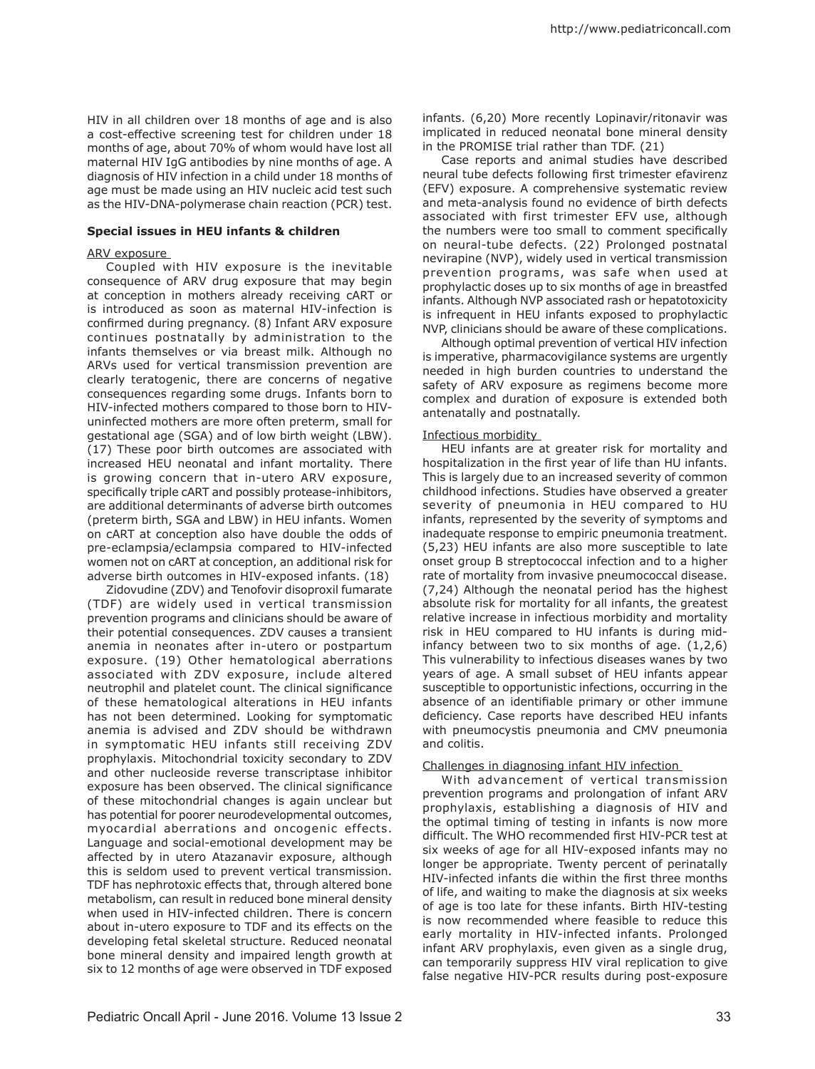HIV in all children over 18 months of age and is also a cost-effective screening test for children under 18 months of age, about 70% of whom would have lost all maternal HIV IgG antibodies by nine months of age. A diagnosis of HIV infection in a child under 18 months of age must be made using an HIV nucleic acid test such as the HIV-DNA-polymerase chain reaction (PCR) test.

### **Special issues in HEU infants & children**

### ARV exposure

Coupled with HIV exposure is the inevitable consequence of ARV drug exposure that may begin at conception in mothers already receiving cART or is introduced as soon as maternal HIV-infection is confirmed during pregnancy. (8) Infant ARV exposure continues postnatally by administration to the infants themselves or via breast milk. Although no ARVs used for vertical transmission prevention are clearly teratogenic, there are concerns of negative consequences regarding some drugs. Infants born to HIV-infected mothers compared to those born to HIVuninfected mothers are more often preterm, small for gestational age (SGA) and of low birth weight (LBW). (17) These poor birth outcomes are associated with increased HEU neonatal and infant mortality. There is growing concern that in-utero ARV exposure, specifically triple cART and possibly protease-inhibitors, are additional determinants of adverse birth outcomes (preterm birth, SGA and LBW) in HEU infants. Women on cART at conception also have double the odds of pre-eclampsia/eclampsia compared to HIV-infected women not on cART at conception, an additional risk for adverse birth outcomes in HIV-exposed infants. (18)

Zidovudine (ZDV) and Tenofovir disoproxil fumarate (TDF) are widely used in vertical transmission prevention programs and clinicians should be aware of their potential consequences. ZDV causes a transient anemia in neonates after in-utero or postpartum exposure. (19) Other hematological aberrations associated with ZDV exposure, include altered neutrophil and platelet count. The clinical significance of these hematological alterations in HEU infants has not been determined. Looking for symptomatic anemia is advised and ZDV should be withdrawn in symptomatic HEU infants still receiving ZDV prophylaxis. Mitochondrial toxicity secondary to ZDV and other nucleoside reverse transcriptase inhibitor exposure has been observed. The clinical significance of these mitochondrial changes is again unclear but has potential for poorer neurodevelopmental outcomes, myocardial aberrations and oncogenic effects. Language and social-emotional development may be affected by in utero Atazanavir exposure, although this is seldom used to prevent vertical transmission. TDF has nephrotoxic effects that, through altered bone metabolism, can result in reduced bone mineral density when used in HIV-infected children. There is concern about in-utero exposure to TDF and its effects on the developing fetal skeletal structure. Reduced neonatal bone mineral density and impaired length growth at six to 12 months of age were observed in TDF exposed

infants. (6,20) More recently Lopinavir/ritonavir was implicated in reduced neonatal bone mineral density in the PROMISE trial rather than TDF. (21)

Case reports and animal studies have described neural tube defects following first trimester efavirenz (EFV) exposure. A comprehensive systematic review and meta-analysis found no evidence of birth defects associated with first trimester EFV use, although the numbers were too small to comment specifically on neural-tube defects. (22) Prolonged postnatal nevirapine (NVP), widely used in vertical transmission prevention programs, was safe when used at prophylactic doses up to six months of age in breastfed infants. Although NVP associated rash or hepatotoxicity is infrequent in HEU infants exposed to prophylactic NVP, clinicians should be aware of these complications.

Although optimal prevention of vertical HIV infection is imperative, pharmacovigilance systems are urgently needed in high burden countries to understand the safety of ARV exposure as regimens become more complex and duration of exposure is extended both antenatally and postnatally.

## Infectious morbidity

HEU infants are at greater risk for mortality and hospitalization in the first year of life than HU infants. This is largely due to an increased severity of common childhood infections. Studies have observed a greater severity of pneumonia in HEU compared to HU infants, represented by the severity of symptoms and inadequate response to empiric pneumonia treatment. (5,23) HEU infants are also more susceptible to late onset group B streptococcal infection and to a higher rate of mortality from invasive pneumococcal disease. (7,24) Although the neonatal period has the highest absolute risk for mortality for all infants, the greatest relative increase in infectious morbidity and mortality risk in HEU compared to HU infants is during midinfancy between two to six months of age. (1,2,6) This vulnerability to infectious diseases wanes by two years of age. A small subset of HEU infants appear susceptible to opportunistic infections, occurring in the absence of an identifiable primary or other immune deficiency. Case reports have described HEU infants with pneumocystis pneumonia and CMV pneumonia and colitis.

# Challenges in diagnosing infant HIV infection

With advancement of vertical transmission prevention programs and prolongation of infant ARV prophylaxis, establishing a diagnosis of HIV and the optimal timing of testing in infants is now more difficult. The WHO recommended first HIV-PCR test at six weeks of age for all HIV-exposed infants may no longer be appropriate. Twenty percent of perinatally HIV-infected infants die within the first three months of life, and waiting to make the diagnosis at six weeks of age is too late for these infants. Birth HIV-testing is now recommended where feasible to reduce this early mortality in HIV-infected infants. Prolonged infant ARV prophylaxis, even given as a single drug, can temporarily suppress HIV viral replication to give false negative HIV-PCR results during post-exposure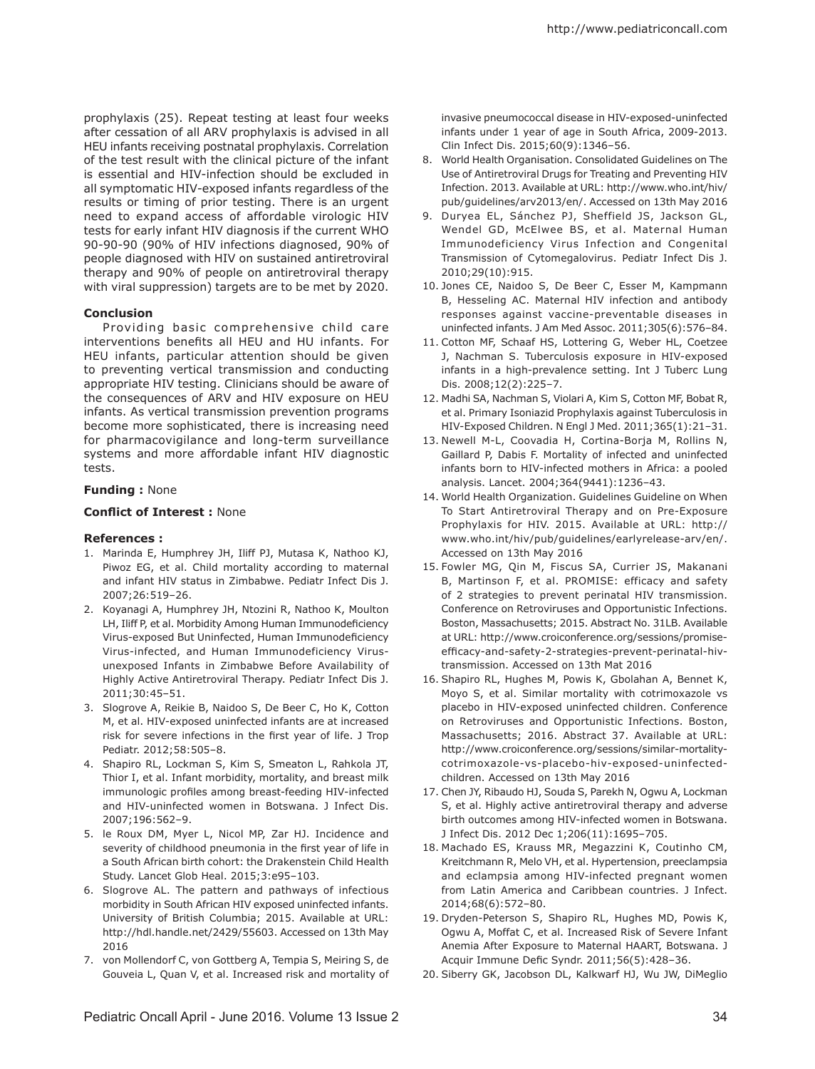prophylaxis (25). Repeat testing at least four weeks after cessation of all ARV prophylaxis is advised in all HEU infants receiving postnatal prophylaxis. Correlation of the test result with the clinical picture of the infant is essential and HIV-infection should be excluded in all symptomatic HIV-exposed infants regardless of the results or timing of prior testing. There is an urgent need to expand access of affordable virologic HIV tests for early infant HIV diagnosis if the current WHO 90-90-90 (90% of HIV infections diagnosed, 90% of people diagnosed with HIV on sustained antiretroviral therapy and 90% of people on antiretroviral therapy with viral suppression) targets are to be met by 2020.

## **Conclusion**

Providing basic comprehensive child care interventions benefits all HEU and HU infants. For HEU infants, particular attention should be given to preventing vertical transmission and conducting appropriate HIV testing. Clinicians should be aware of the consequences of ARV and HIV exposure on HEU infants. As vertical transmission prevention programs become more sophisticated, there is increasing need for pharmacovigilance and long-term surveillance systems and more affordable infant HIV diagnostic tests.

### **Funding :** None

## **Conflict of Interest :** None

### **References :**

- 1. Marinda E, Humphrey JH, Iliff PJ, Mutasa K, Nathoo KJ, Piwoz EG, et al. Child mortality according to maternal and infant HIV status in Zimbabwe. Pediatr Infect Dis J. 2007;26:519–26.
- 2. Koyanagi A, Humphrey JH, Ntozini R, Nathoo K, Moulton LH, Iliff P, et al. Morbidity Among Human Immunodeficiency Virus-exposed But Uninfected, Human Immunodeficiency Virus-infected, and Human Immunodeficiency Virusunexposed Infants in Zimbabwe Before Availability of Highly Active Antiretroviral Therapy. Pediatr Infect Dis J. 2011;30:45–51.
- 3. Slogrove A, Reikie B, Naidoo S, De Beer C, Ho K, Cotton M, et al. HIV-exposed uninfected infants are at increased risk for severe infections in the first year of life. J Trop Pediatr. 2012;58:505–8.
- 4. Shapiro RL, Lockman S, Kim S, Smeaton L, Rahkola JT, Thior I, et al. Infant morbidity, mortality, and breast milk immunologic profiles among breast-feeding HIV-infected and HIV-uninfected women in Botswana. J Infect Dis. 2007;196:562–9.
- 5. le Roux DM, Myer L, Nicol MP, Zar HJ. Incidence and severity of childhood pneumonia in the first year of life in a South African birth cohort: the Drakenstein Child Health Study. Lancet Glob Heal. 2015;3:e95–103.
- 6. Slogrove AL. The pattern and pathways of infectious morbidity in South African HIV exposed uninfected infants. University of British Columbia; 2015. Available at URL: http://hdl.handle.net/2429/55603. Accessed on 13th May 2016
- 7. von Mollendorf C, von Gottberg A, Tempia S, Meiring S, de Gouveia L, Quan V, et al. Increased risk and mortality of

invasive pneumococcal disease in HIV-exposed-uninfected infants under 1 year of age in South Africa, 2009-2013. Clin Infect Dis. 2015;60(9):1346–56.

- 8. World Health Organisation. Consolidated Guidelines on The Use of Antiretroviral Drugs for Treating and Preventing HIV Infection. 2013. Available at URL: http://www.who.int/hiv/ pub/guidelines/arv2013/en/. Accessed on 13th May 2016
- 9. Duryea EL, Sánchez PJ, Sheffield JS, Jackson GL, Wendel GD, McElwee BS, et al. Maternal Human Immunodeficiency Virus Infection and Congenital Transmission of Cytomegalovirus. Pediatr Infect Dis J. 2010;29(10):915.
- 10. Jones CE, Naidoo S, De Beer C, Esser M, Kampmann B, Hesseling AC. Maternal HIV infection and antibody responses against vaccine-preventable diseases in uninfected infants. J Am Med Assoc. 2011;305(6):576–84.
- 11. Cotton MF, Schaaf HS, Lottering G, Weber HL, Coetzee J, Nachman S. Tuberculosis exposure in HIV-exposed infants in a high-prevalence setting. Int J Tuberc Lung Dis. 2008;12(2):225–7.
- 12. Madhi SA, Nachman S, Violari A, Kim S, Cotton MF, Bobat R, et al. Primary Isoniazid Prophylaxis against Tuberculosis in HIV-Exposed Children. N Engl J Med. 2011;365(1):21–31.
- 13. Newell M-L, Coovadia H, Cortina-Borja M, Rollins N, Gaillard P, Dabis F. Mortality of infected and uninfected infants born to HIV-infected mothers in Africa: a pooled analysis. Lancet. 2004;364(9441):1236–43.
- 14. World Health Organization. Guidelines Guideline on When To Start Antiretroviral Therapy and on Pre-Exposure Prophylaxis for HIV. 2015. Available at URL: http:// www.who.int/hiv/pub/guidelines/earlyrelease-arv/en/. Accessed on 13th May 2016
- 15. Fowler MG, Qin M, Fiscus SA, Currier JS, Makanani B, Martinson F, et al. PROMISE: efficacy and safety of 2 strategies to prevent perinatal HIV transmission. Conference on Retroviruses and Opportunistic Infections. Boston, Massachusetts; 2015. Abstract No. 31LB. Available at URL: http://www.croiconference.org/sessions/promiseefficacy-and-safety-2-strategies-prevent-perinatal-hivtransmission. Accessed on 13th Mat 2016
- 16. Shapiro RL, Hughes M, Powis K, Gbolahan A, Bennet K, Moyo S, et al. Similar mortality with cotrimoxazole vs placebo in HIV-exposed uninfected children. Conference on Retroviruses and Opportunistic Infections. Boston, Massachusetts; 2016. Abstract 37. Available at URL: http://www.croiconference.org/sessions/similar-mortalitycotrimoxazole-vs-placebo-hiv-exposed-uninfectedchildren. Accessed on 13th May 2016
- 17. Chen JY, Ribaudo HJ, Souda S, Parekh N, Ogwu A, Lockman S, et al. Highly active antiretroviral therapy and adverse birth outcomes among HIV-infected women in Botswana. J Infect Dis. 2012 Dec 1;206(11):1695–705.
- 18. Machado ES, Krauss MR, Megazzini K, Coutinho CM, Kreitchmann R, Melo VH, et al. Hypertension, preeclampsia and eclampsia among HIV-infected pregnant women from Latin America and Caribbean countries. J Infect. 2014;68(6):572–80.
- 19. Dryden-Peterson S, Shapiro RL, Hughes MD, Powis K, Ogwu A, Moffat C, et al. Increased Risk of Severe Infant Anemia After Exposure to Maternal HAART, Botswana. J Acquir Immune Defic Syndr. 2011;56(5):428–36.
- 20. Siberry GK, Jacobson DL, Kalkwarf HJ, Wu JW, DiMeglio